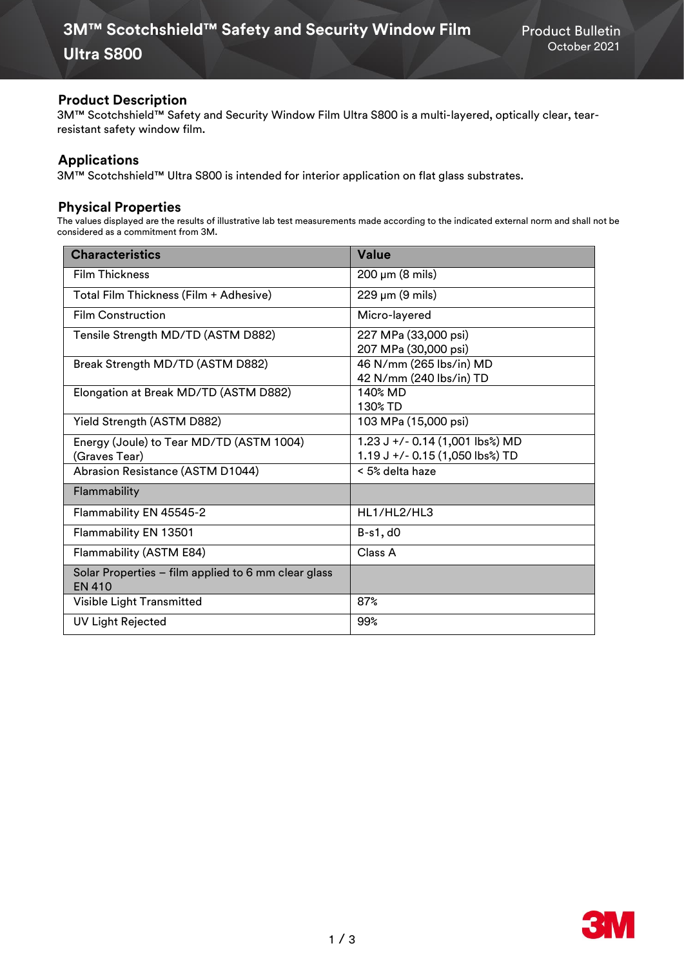## **Product Description**

3M™ Scotchshield™ Safety and Security Window Film Ultra S800 is a multi-layered, optically clear, tearresistant safety window film.

## **Applications**

3M™ Scotchshield™ Ultra S800 is intended for interior application on flat glass substrates.

## **Physical Properties**

The values displayed are the results of illustrative lab test measurements made according to the indicated external norm and shall not be considered as a commitment from 3M.

| <b>Characteristics</b>                                               | Value                                                              |
|----------------------------------------------------------------------|--------------------------------------------------------------------|
| <b>Film Thickness</b>                                                | $200 \mu m$ (8 mils)                                               |
| Total Film Thickness (Film + Adhesive)                               | $229 \mu m (9 \text{ miles})$                                      |
| <b>Film Construction</b>                                             | Micro-layered                                                      |
| Tensile Strength MD/TD (ASTM D882)                                   | 227 MPa (33,000 psi)<br>207 MPa (30,000 psi)                       |
| Break Strength MD/TD (ASTM D882)                                     | 46 N/mm (265 lbs/in) MD<br>42 N/mm (240 lbs/in) TD                 |
| Elongation at Break MD/TD (ASTM D882)                                | 140% MD<br>130% TD                                                 |
| Yield Strength (ASTM D882)                                           | 103 MPa (15,000 psi)                                               |
| Energy (Joule) to Tear MD/TD (ASTM 1004)<br>(Graves Tear)            | 1.23 J +/- 0.14 (1,001 lbs%) MD<br>1.19 J +/- 0.15 (1,050 lbs%) TD |
| Abrasion Resistance (ASTM D1044)                                     | < 5% delta haze                                                    |
| Flammability                                                         |                                                                    |
| Flammability EN 45545-2                                              | HL1/HL2/HL3                                                        |
| Flammability EN 13501                                                | $B-s1, d0$                                                         |
| Flammability (ASTM E84)                                              | Class A                                                            |
| Solar Properties - film applied to 6 mm clear glass<br><b>EN 410</b> |                                                                    |
| Visible Light Transmitted                                            | 87%                                                                |
| <b>UV Light Rejected</b>                                             | 99%                                                                |

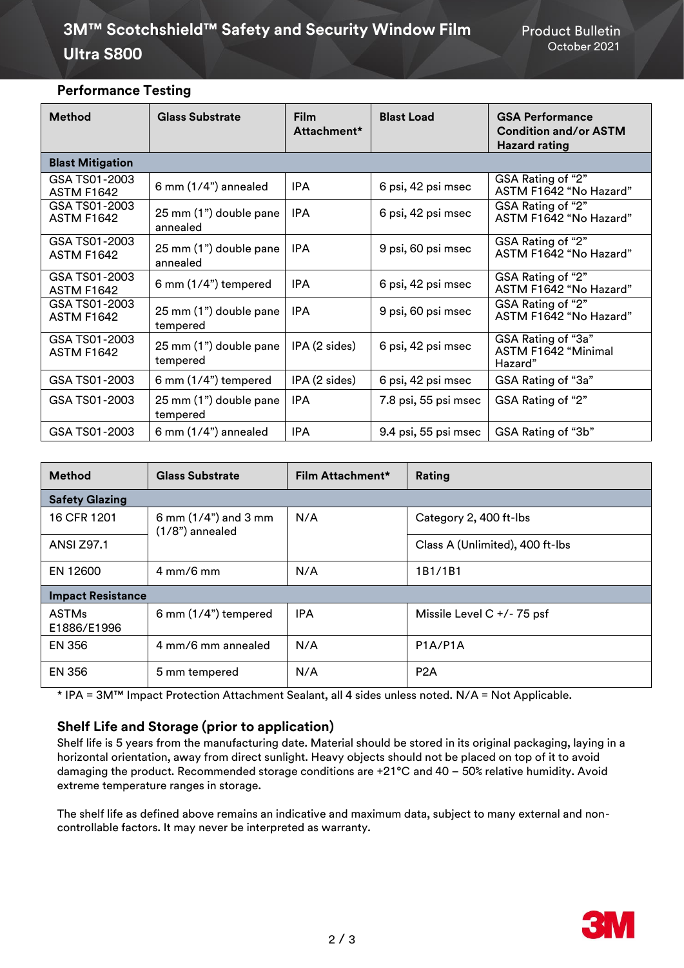# **3M™ Scotchshield™ Safety and Security Window Film Froduct Bulletin Ultra S800** October <sup>2021</sup>

## **Performance Testing**

| <b>Method</b>                      | <b>Glass Substrate</b>             | <b>Film</b><br>Attachment* | <b>Blast Load</b>    | <b>GSA Performance</b><br><b>Condition and/or ASTM</b><br><b>Hazard rating</b> |
|------------------------------------|------------------------------------|----------------------------|----------------------|--------------------------------------------------------------------------------|
| <b>Blast Mitigation</b>            |                                    |                            |                      |                                                                                |
| GSA TS01-2003<br><b>ASTM F1642</b> | $6$ mm $(1/4")$ annealed           | <b>IPA</b>                 | 6 psi, 42 psi msec   | GSA Rating of "2"<br>ASTM F1642 "No Hazard"                                    |
| GSA TS01-2003<br><b>ASTM F1642</b> | 25 mm (1") double pane<br>annealed | <b>IPA</b>                 | 6 psi, 42 psi msec   | GSA Rating of "2"<br>ASTM F1642 "No Hazard"                                    |
| GSA TS01-2003<br><b>ASTM F1642</b> | 25 mm (1") double pane<br>annealed | <b>IPA</b>                 | 9 psi, 60 psi msec   | GSA Rating of "2"<br>ASTM F1642 "No Hazard"                                    |
| GSA TS01-2003<br><b>ASTM F1642</b> | 6 mm $(1/4)$ tempered              | <b>IPA</b>                 | 6 psi, 42 psi msec   | GSA Rating of "2"<br>ASTM F1642 "No Hazard"                                    |
| GSA TS01-2003<br><b>ASTM F1642</b> | 25 mm (1") double pane<br>tempered | <b>IPA</b>                 | 9 psi, 60 psi msec   | GSA Rating of "2"<br>ASTM F1642 "No Hazard"                                    |
| GSA TS01-2003<br><b>ASTM F1642</b> | 25 mm (1") double pane<br>tempered | IPA (2 sides)              | 6 psi, 42 psi msec   | GSA Rating of "3a"<br>ASTM F1642 "Minimal<br>Hazard"                           |
| GSA TS01-2003                      | 6 mm (1/4") tempered               | IPA (2 sides)              | 6 psi, 42 psi msec   | GSA Rating of "3a"                                                             |
| GSA TS01-2003                      | 25 mm (1") double pane<br>tempered | <b>IPA</b>                 | 7.8 psi, 55 psi msec | GSA Rating of "2"                                                              |
| GSA TS01-2003                      | $6$ mm $(1/4")$ annealed           | <b>IPA</b>                 | 9.4 psi, 55 psi msec | GSA Rating of "3b"                                                             |

| <b>Method</b>               | <b>Glass Substrate</b>                     | Film Attachment* | Rating                          |  |
|-----------------------------|--------------------------------------------|------------------|---------------------------------|--|
| <b>Safety Glazing</b>       |                                            |                  |                                 |  |
| 16 CFR 1201                 | 6 mm $(1/4)$ and 3 mm<br>$(1/8")$ annealed | N/A              | Category 2, 400 ft-lbs          |  |
| <b>ANSI Z97.1</b>           |                                            |                  | Class A (Unlimited), 400 ft-lbs |  |
| EN 12600                    | $4 \text{ mm} / 6 \text{ mm}$              | N/A              | 1B1/1B1                         |  |
| <b>Impact Resistance</b>    |                                            |                  |                                 |  |
| <b>ASTMs</b><br>E1886/E1996 | 6 mm (1/4") tempered                       | <b>IPA</b>       | Missile Level $C + / - 75$ psf  |  |
| <b>EN 356</b>               | 4 mm/6 mm annealed                         | N/A              | P1A/P1A                         |  |
| <b>EN 356</b>               | 5 mm tempered                              | N/A              | P <sub>2</sub> A                |  |

\* IPA = 3M™ Impact Protection Attachment Sealant, all 4 sides unless noted. N/A = Not Applicable.

## **Shelf Life and Storage (prior to application)**

Shelf life is 5 years from the manufacturing date. Material should be stored in its original packaging, laying in a horizontal orientation, away from direct sunlight. Heavy objects should not be placed on top of it to avoid damaging the product. Recommended storage conditions are +21°C and 40 – 50% relative humidity. Avoid extreme temperature ranges in storage.

The shelf life as defined above remains an indicative and maximum data, subject to many external and noncontrollable factors. It may never be interpreted as warranty.